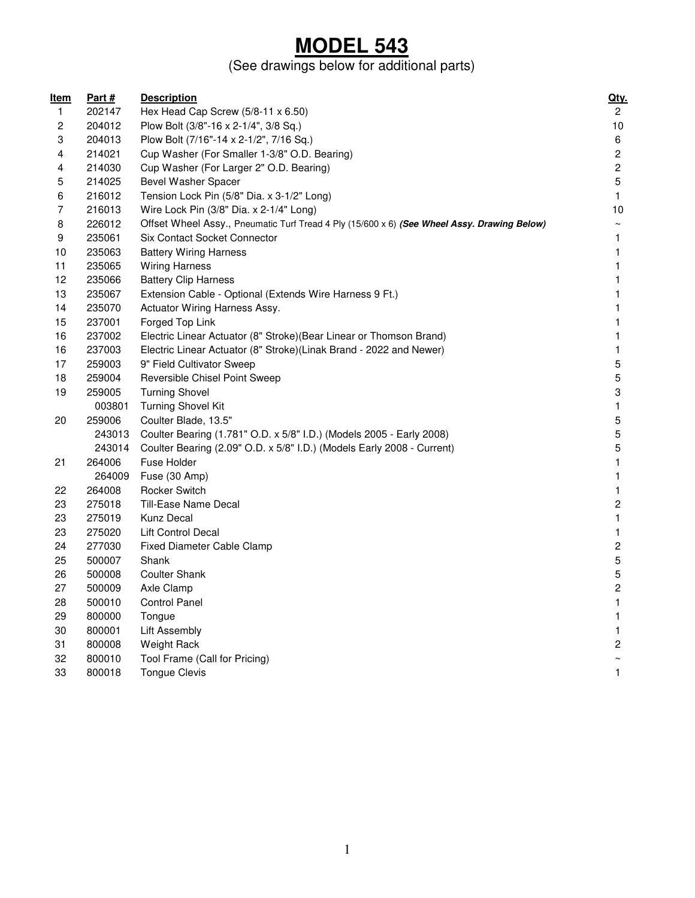### **MODEL 543**

#### (See drawings below for additional parts)

| <u>Item</u> | <u>Part #</u> | <b>Description</b>                                                                          | <u>Qty.</u>             |
|-------------|---------------|---------------------------------------------------------------------------------------------|-------------------------|
| 1           | 202147        | Hex Head Cap Screw (5/8-11 x 6.50)                                                          | $\mathbf{2}$            |
| 2           | 204012        | Plow Bolt (3/8"-16 x 2-1/4", 3/8 Sq.)                                                       | $10$                    |
| 3           | 204013        | Plow Bolt (7/16"-14 x 2-1/2", 7/16 Sq.)                                                     | 6                       |
| 4           | 214021        | Cup Washer (For Smaller 1-3/8" O.D. Bearing)                                                | $\overline{\mathbf{c}}$ |
| 4           | 214030        | Cup Washer (For Larger 2" O.D. Bearing)                                                     | $\sqrt{2}$              |
| 5           | 214025        | Bevel Washer Spacer                                                                         | 5                       |
| 6           | 216012        | Tension Lock Pin (5/8" Dia. x 3-1/2" Long)                                                  | $\mathbf{1}$            |
| 7           | 216013        | Wire Lock Pin (3/8" Dia. x 2-1/4" Long)                                                     | 10                      |
| 8           | 226012        | Offset Wheel Assy., Pneumatic Turf Tread 4 Ply (15/600 x 6) (See Wheel Assy. Drawing Below) | $\thicksim$             |
| 9           | 235061        | Six Contact Socket Connector                                                                | 1                       |
| 10          | 235063        | <b>Battery Wiring Harness</b>                                                               | 1                       |
| 11          | 235065        | <b>Wiring Harness</b>                                                                       | $\mathbf{1}$            |
| 12          | 235066        | <b>Battery Clip Harness</b>                                                                 | $\mathbf{1}$            |
| 13          | 235067        | Extension Cable - Optional (Extends Wire Harness 9 Ft.)                                     | $\mathbf{1}$            |
| 14          | 235070        | Actuator Wiring Harness Assy.                                                               | $\mathbf{1}$            |
| 15          | 237001        | Forged Top Link                                                                             | 1                       |
| 16          | 237002        | Electric Linear Actuator (8" Stroke) (Bear Linear or Thomson Brand)                         | $\mathbf{1}$            |
| 16          | 237003        | Electric Linear Actuator (8" Stroke)(Linak Brand - 2022 and Newer)                          | $\mathbf{1}$            |
| 17          | 259003        | 9" Field Cultivator Sweep                                                                   | 5                       |
| 18          | 259004        | Reversible Chisel Point Sweep                                                               | 5                       |
| 19          | 259005        | <b>Turning Shovel</b>                                                                       | 3                       |
|             | 003801        | <b>Turning Shovel Kit</b>                                                                   | $\mathbf{1}$            |
| 20          | 259006        | Coulter Blade, 13.5"                                                                        | 5                       |
|             | 243013        | Coulter Bearing (1.781" O.D. x 5/8" I.D.) (Models 2005 - Early 2008)                        | 5                       |
|             | 243014        | Coulter Bearing (2.09" O.D. x 5/8" I.D.) (Models Early 2008 - Current)                      | 5                       |
| 21          | 264006        | Fuse Holder                                                                                 | $\mathbf{1}$            |
|             | 264009        | Fuse (30 Amp)                                                                               | $\mathbf{1}$            |
| 22          | 264008        | <b>Rocker Switch</b>                                                                        | $\mathbf{1}$            |
| 23          | 275018        | Till-Ease Name Decal                                                                        | $\overline{\mathbf{c}}$ |
| 23          | 275019        | <b>Kunz Decal</b>                                                                           | $\mathbf{1}$            |
| 23          | 275020        | Lift Control Decal                                                                          | $\mathbf{1}$            |
| 24          | 277030        | <b>Fixed Diameter Cable Clamp</b>                                                           | $\overline{c}$          |
| 25          | 500007        | Shank                                                                                       | 5                       |
| 26          | 500008        | <b>Coulter Shank</b>                                                                        | 5                       |
| 27          | 500009        | Axle Clamp                                                                                  | $\mathbf{c}$            |
| 28          | 500010        | <b>Control Panel</b>                                                                        | $\mathbf{1}$            |
| 29          | 800000        | Tongue                                                                                      | 1                       |
| 30          | 800001        | Lift Assembly                                                                               | $\mathbf{1}$            |
| 31          | 800008        | Weight Rack                                                                                 | $\overline{\mathbf{c}}$ |
| 32          | 800010        | Tool Frame (Call for Pricing)                                                               | $\sim$                  |
| 33          | 800018        | <b>Tongue Clevis</b>                                                                        | 1                       |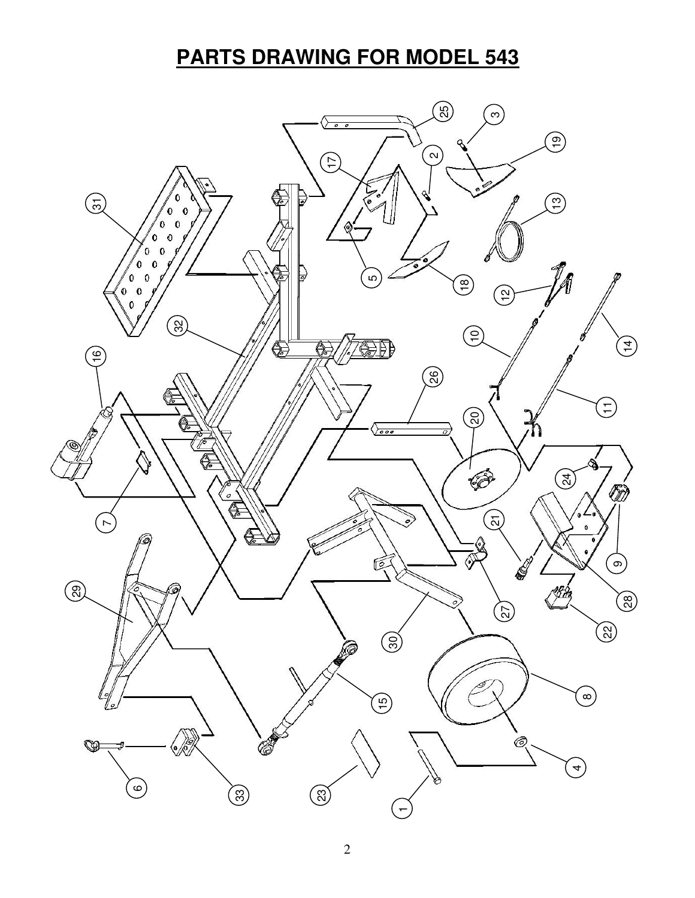# **PARTS DRAWING FOR MODEL 543**

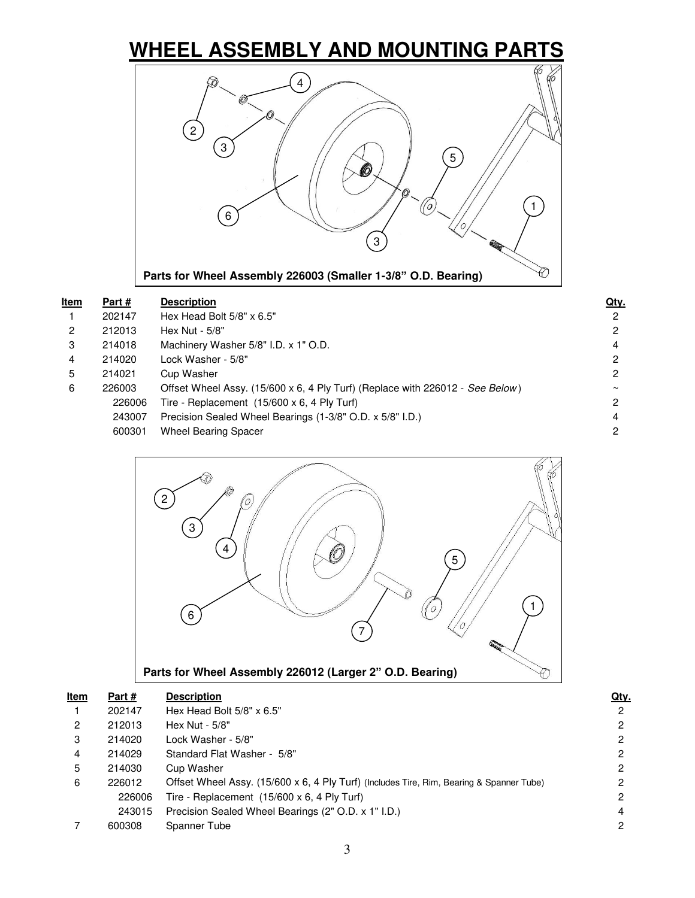# **WHEEL ASSEMBLY AND MOUNTING PARTS**



| <u>ltem</u>    | Part#  | <b>Description</b>                                                            | Qty.   |
|----------------|--------|-------------------------------------------------------------------------------|--------|
| $\mathbf{1}$   | 202147 | Hex Head Bolt 5/8" x 6.5"                                                     | 2      |
| $\overline{2}$ | 212013 | Hex Nut - 5/8"                                                                | 2      |
| 3              | 214018 | Machinery Washer 5/8" I.D. x 1" O.D.                                          | 4      |
| 4              | 214020 | Lock Washer - 5/8"                                                            | 2      |
| 5              | 214021 | Cup Washer                                                                    | 2      |
| 6              | 226003 | Offset Wheel Assy. (15/600 x 6, 4 Ply Turf) (Replace with 226012 - See Below) | $\sim$ |
|                | 226006 | Tire - Replacement $(15/600 \times 6, 4 \text{ Ply Turf})$                    | 2      |
|                | 243007 | Precision Sealed Wheel Bearings (1-3/8" O.D. x 5/8" I.D.)                     | 4      |
|                | 600301 | <b>Wheel Bearing Spacer</b>                                                   | 2      |
|                |        |                                                                               |        |



| <u>Item</u> | Part#  | <b>Description</b>                                                                       | Qty. |
|-------------|--------|------------------------------------------------------------------------------------------|------|
|             | 202147 | Hex Head Bolt $5/8" \times 6.5"$                                                         | 2    |
| 2           | 212013 | Hex Nut - 5/8"                                                                           | 2    |
| 3           | 214020 | Lock Washer - 5/8"                                                                       | 2    |
| 4           | 214029 | Standard Flat Washer - 5/8"                                                              | 2    |
| 5           | 214030 | Cup Washer                                                                               | 2    |
| 6           | 226012 | Offset Wheel Assy. (15/600 x 6, 4 Ply Turf) (Includes Tire, Rim, Bearing & Spanner Tube) | 2    |
|             | 226006 | Tire - Replacement $(15/600 \times 6, 4$ Ply Turf)                                       | 2    |
|             | 243015 | Precision Sealed Wheel Bearings (2" O.D. x 1" I.D.)                                      | 4    |
|             | 600308 | Spanner Tube                                                                             | 2    |